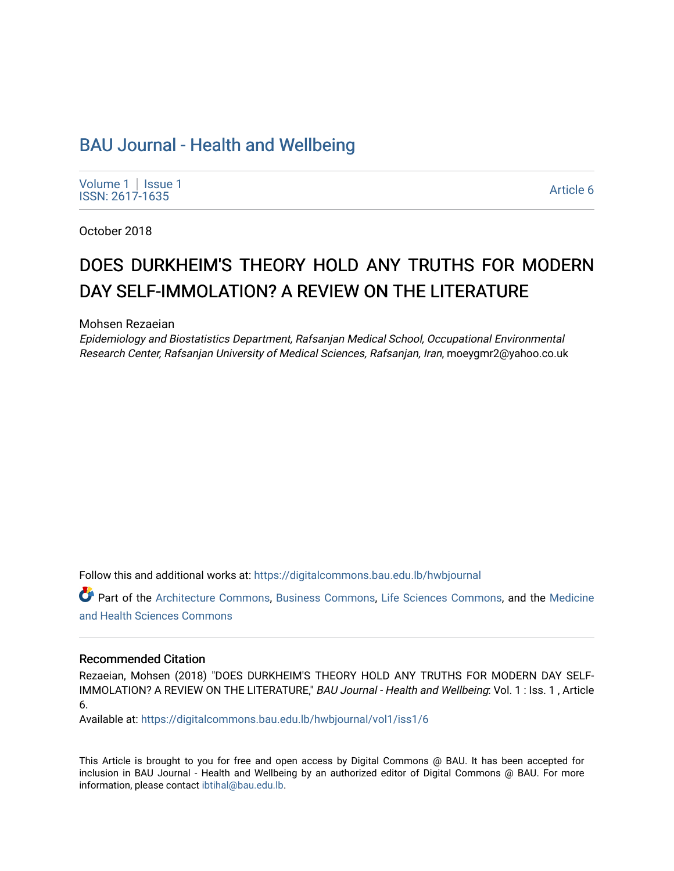# [BAU Journal - Health and Wellbeing](https://digitalcommons.bau.edu.lb/hwbjournal)

[Volume 1](https://digitalcommons.bau.edu.lb/hwbjournal/vol1) | Issue 1 Political Pressure Pressure Pressure Pressure Pressure Pressure Pressure Pressure Pressure Pressure Pressure P<br>ISSN: 2617-1635

October 2018

# DOES DURKHEIM'S THEORY HOLD ANY TRUTHS FOR MODERN DAY SELF-IMMOLATION? A REVIEW ON THE LITERATURE

Mohsen Rezaeian

Epidemiology and Biostatistics Department, Rafsanjan Medical School, Occupational Environmental Research Center, Rafsanjan University of Medical Sciences, Rafsanjan, Iran, moeygmr2@yahoo.co.uk

Follow this and additional works at: [https://digitalcommons.bau.edu.lb/hwbjournal](https://digitalcommons.bau.edu.lb/hwbjournal?utm_source=digitalcommons.bau.edu.lb%2Fhwbjournal%2Fvol1%2Fiss1%2F6&utm_medium=PDF&utm_campaign=PDFCoverPages)

Part of the [Architecture Commons](http://network.bepress.com/hgg/discipline/773?utm_source=digitalcommons.bau.edu.lb%2Fhwbjournal%2Fvol1%2Fiss1%2F6&utm_medium=PDF&utm_campaign=PDFCoverPages), [Business Commons,](http://network.bepress.com/hgg/discipline/622?utm_source=digitalcommons.bau.edu.lb%2Fhwbjournal%2Fvol1%2Fiss1%2F6&utm_medium=PDF&utm_campaign=PDFCoverPages) [Life Sciences Commons](http://network.bepress.com/hgg/discipline/1016?utm_source=digitalcommons.bau.edu.lb%2Fhwbjournal%2Fvol1%2Fiss1%2F6&utm_medium=PDF&utm_campaign=PDFCoverPages), and the [Medicine](http://network.bepress.com/hgg/discipline/648?utm_source=digitalcommons.bau.edu.lb%2Fhwbjournal%2Fvol1%2Fiss1%2F6&utm_medium=PDF&utm_campaign=PDFCoverPages)  [and Health Sciences Commons](http://network.bepress.com/hgg/discipline/648?utm_source=digitalcommons.bau.edu.lb%2Fhwbjournal%2Fvol1%2Fiss1%2F6&utm_medium=PDF&utm_campaign=PDFCoverPages)

#### Recommended Citation

Rezaeian, Mohsen (2018) "DOES DURKHEIM'S THEORY HOLD ANY TRUTHS FOR MODERN DAY SELF-IMMOLATION? A REVIEW ON THE LITERATURE," BAU Journal - Health and Wellbeing: Vol. 1 : Iss. 1 , Article 6.

Available at: [https://digitalcommons.bau.edu.lb/hwbjournal/vol1/iss1/6](https://digitalcommons.bau.edu.lb/hwbjournal/vol1/iss1/6?utm_source=digitalcommons.bau.edu.lb%2Fhwbjournal%2Fvol1%2Fiss1%2F6&utm_medium=PDF&utm_campaign=PDFCoverPages) 

This Article is brought to you for free and open access by Digital Commons @ BAU. It has been accepted for inclusion in BAU Journal - Health and Wellbeing by an authorized editor of Digital Commons @ BAU. For more information, please contact [ibtihal@bau.edu.lb.](mailto:ibtihal@bau.edu.lb)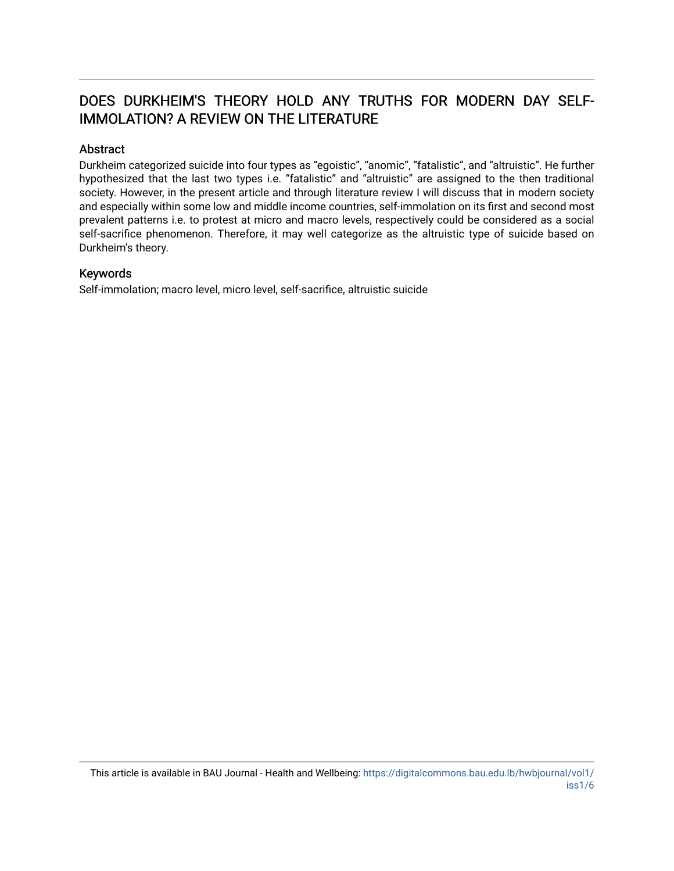# DOES DURKHEIM'S THEORY HOLD ANY TRUTHS FOR MODERN DAY SELF-IMMOLATION? A REVIEW ON THE LITERATURE

# Abstract

Durkheim categorized suicide into four types as "egoistic", "anomic", "fatalistic", and "altruistic". He further hypothesized that the last two types i.e. "fatalistic" and "altruistic" are assigned to the then traditional society. However, in the present article and through literature review I will discuss that in modern society and especially within some low and middle income countries, self-immolation on its first and second most prevalent patterns i.e. to protest at micro and macro levels, respectively could be considered as a social self-sacrifice phenomenon. Therefore, it may well categorize as the altruistic type of suicide based on Durkheim's theory.

## Keywords

Self-immolation; macro level, micro level, self-sacrifice, altruistic suicide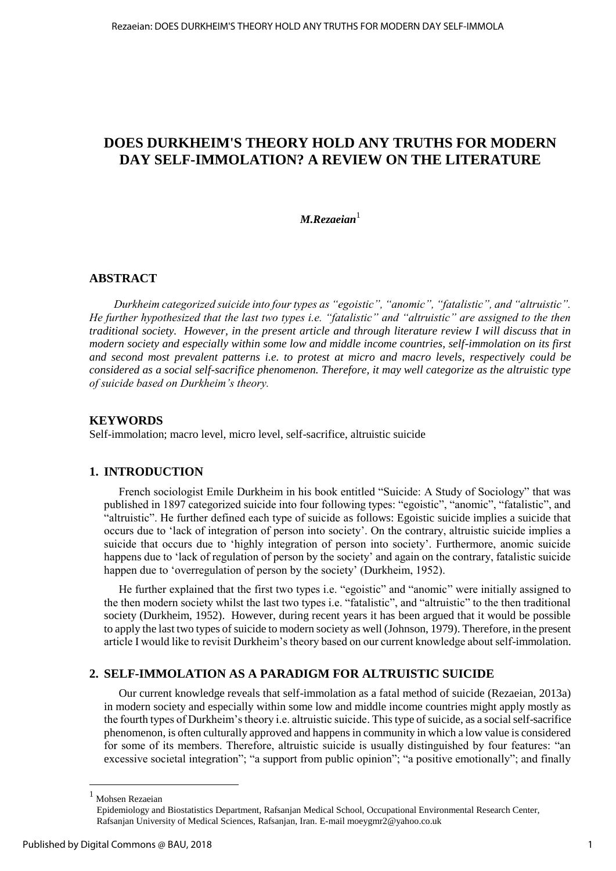# **DOES DURKHEIM'S THEORY HOLD ANY TRUTHS FOR MODERN DAY SELF-IMMOLATION? A REVIEW ON THE LITERATURE**

*M.Rezaeian*<sup>1</sup>

# **ABSTRACT**

*Durkheim categorized suicide into four types as "egoistic", "anomic", "fatalistic", and "altruistic". He further hypothesized that the last two types i.e. "fatalistic" and "altruistic" are assigned to the then traditional society. However, in the present article and through literature review I will discuss that in modern society and especially within some low and middle income countries, self-immolation on its first and second most prevalent patterns i.e. to protest at micro and macro levels, respectively could be considered as a social self-sacrifice phenomenon. Therefore, it may well categorize as the altruistic type of suicide based on Durkheim's theory.* 

#### **KEYWORDS**

Self-immolation; macro level, micro level, self-sacrifice, altruistic suicide

# **1. INTRODUCTION**

French sociologist Emile Durkheim in his book entitled "Suicide: A Study of Sociology" that was published in 1897 categorized suicide into four following types: "egoistic", "anomic", "fatalistic", and "altruistic". He further defined each type of suicide as follows: Egoistic suicide implies a suicide that occurs due to 'lack of integration of person into society'. On the contrary, altruistic suicide implies a suicide that occurs due to 'highly integration of person into society'. Furthermore, anomic suicide happens due to 'lack of regulation of person by the society' and again on the contrary, fatalistic suicide happen due to 'overregulation of person by the society' (Durkheim, 1952).

He further explained that the first two types i.e. "egoistic" and "anomic" were initially assigned to the then modern society whilst the last two types i.e. "fatalistic", and "altruistic" to the then traditional society (Durkheim, 1952). However, during recent years it has been argued that it would be possible to apply the last two types of suicide to modern society as well (Johnson, 1979). Therefore, in the present article I would like to revisit Durkheim's theory based on our current knowledge about self-immolation.

## **2. SELF-IMMOLATION AS A PARADIGM FOR ALTRUISTIC SUICIDE**

Our current knowledge reveals that self-immolation as a fatal method of suicide (Rezaeian, 2013a) in modern society and especially within some low and middle income countries might apply mostly as the fourth types of Durkheim's theory i.e. altruistic suicide. This type of suicide, as a social self-sacrifice phenomenon, is often culturally approved and happens in community in which a low value is considered for some of its members. Therefore, altruistic suicide is usually distinguished by four features: "an excessive societal integration"; "a support from public opinion"; "a positive emotionally"; and finally

 $\overline{a}$ 

<sup>1</sup> Mohsen Rezaeian

Epidemiology and Biostatistics Department, Rafsanjan Medical School, Occupational Environmental Research Center, Rafsanjan University of Medical Sciences, Rafsanjan, Iran. E-mai[l moeygmr2@yahoo.co.uk](mailto:moeygmr2@yahoo.co.uk)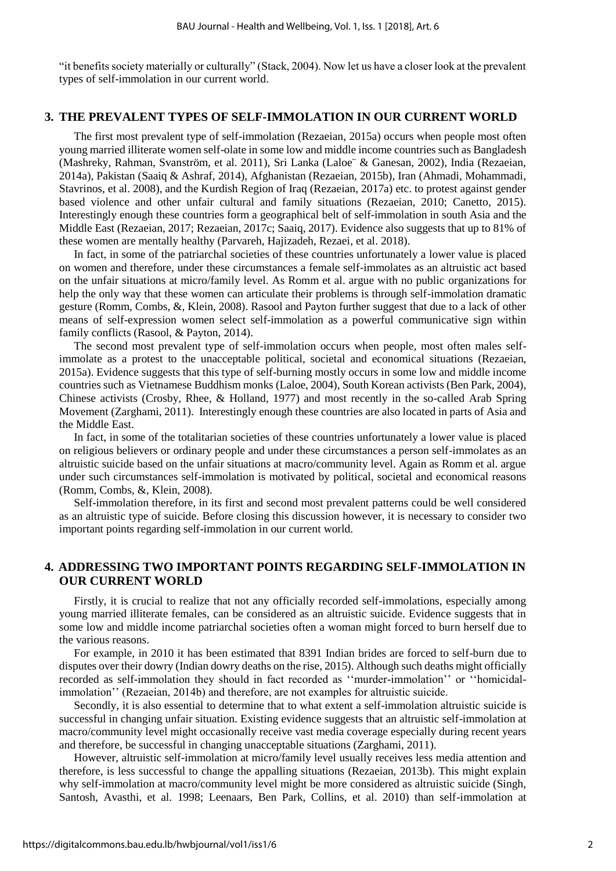"it benefits society materially or culturally" (Stack, 2004). Now let us have a closer look at the prevalent types of self-immolation in our current world.

#### **3. THE PREVALENT TYPES OF SELF-IMMOLATION IN OUR CURRENT WORLD**

The first most prevalent type of self-immolation (Rezaeian, 2015a) occurs when people most often young married illiterate women self-olate in some low and middle income countries such as Bangladesh (Mashreky, Rahman, Svanström, et al. 2011), Sri Lanka (Laloe¨ & Ganesan, 2002), India (Rezaeian, 2014a), Pakistan (Saaiq & Ashraf, 2014), Afghanistan (Rezaeian, 2015b), Iran (Ahmadi, Mohammadi, Stavrinos, et al. 2008), and the Kurdish Region of Iraq (Rezaeian, 2017a) etc. to protest against gender based violence and other unfair cultural and family situations (Rezaeian, 2010; Canetto, 2015). Interestingly enough these countries form a geographical belt of self-immolation in south Asia and the Middle East (Rezaeian, 2017; Rezaeian, 2017c; Saaiq, 2017). Evidence also suggests that up to 81% of these women are mentally healthy (Parvareh, Hajizadeh, Rezaei, et al. 2018).

In fact, in some of the patriarchal societies of these countries unfortunately a lower value is placed on women and therefore, under these circumstances a female self-immolates as an altruistic act based on the unfair situations at micro/family level. As Romm et al. argue with no public organizations for help the only way that these women can articulate their problems is through self-immolation dramatic gesture (Romm, Combs, &, Klein, 2008). Rasool and Payton further suggest that due to a lack of other means of self-expression women select self-immolation as a powerful communicative sign within family conflicts (Rasool, & Payton, 2014).

The second most prevalent type of self-immolation occurs when people, most often males selfimmolate as a protest to the unacceptable political, societal and economical situations (Rezaeian, 2015a). Evidence suggests that this type of self-burning mostly occurs in some low and middle income countries such as Vietnamese Buddhism monks (Laloe, 2004), South Korean activists (Ben Park, 2004), Chinese activists (Crosby, Rhee, & Holland, 1977) and most recently in the so-called Arab Spring Movement (Zarghami, 2011). Interestingly enough these countries are also located in parts of Asia and the Middle East.

In fact, in some of the totalitarian societies of these countries unfortunately a lower value is placed on religious believers or ordinary people and under these circumstances a person self-immolates as an altruistic suicide based on the unfair situations at macro/community level. Again as Romm et al. argue under such circumstances self-immolation is motivated by political, societal and economical reasons (Romm, Combs, &, Klein, 2008).

Self-immolation therefore, in its first and second most prevalent patterns could be well considered as an altruistic type of suicide. Before closing this discussion however, it is necessary to consider two important points regarding self-immolation in our current world.

# **4. ADDRESSING TWO IMPORTANT POINTS REGARDING SELF-IMMOLATION IN OUR CURRENT WORLD**

Firstly, it is crucial to realize that not any officially recorded self-immolations, especially among young married illiterate females, can be considered as an altruistic suicide. Evidence suggests that in some low and middle income patriarchal societies often a woman might forced to burn herself due to the various reasons.

For example, in 2010 it has been estimated that 8391 Indian brides are forced to self-burn due to disputes over their dowry (Indian dowry deaths on the rise, 2015). Although such deaths might officially recorded as self-immolation they should in fact recorded as ''murder-immolation'' or ''homicidalimmolation'' (Rezaeian, 2014b) and therefore, are not examples for altruistic suicide.

Secondly, it is also essential to determine that to what extent a self-immolation altruistic suicide is successful in changing unfair situation. Existing evidence suggests that an altruistic self-immolation at macro/community level might occasionally receive vast media coverage especially during recent years and therefore, be successful in changing unacceptable situations (Zarghami, 2011).

However, altruistic self-immolation at micro/family level usually receives less media attention and therefore, is less successful to change the appalling situations (Rezaeian, 2013b). This might explain why self-immolation at macro/community level might be more considered as altruistic suicide (Singh, Santosh, Avasthi, et al. 1998; Leenaars, Ben Park, Collins, et al. 2010) than self-immolation at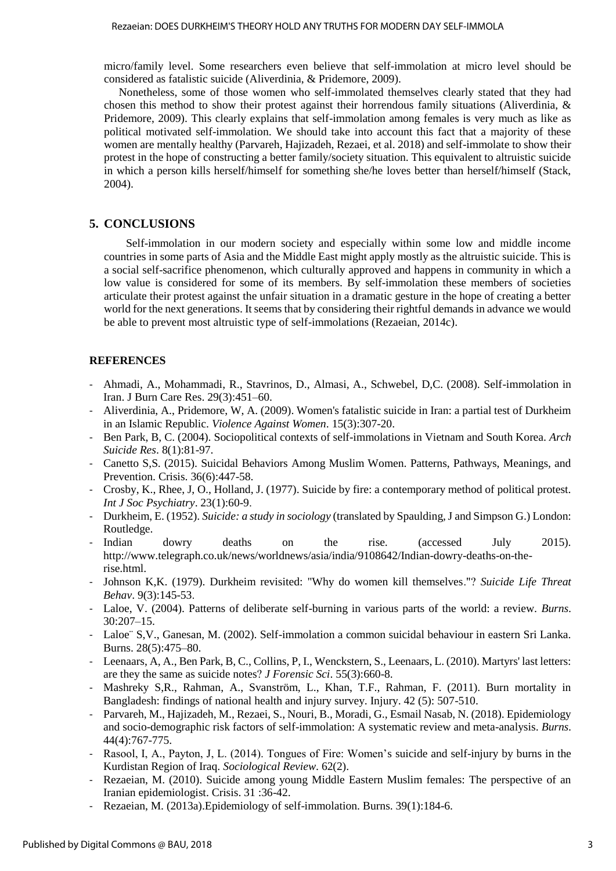#### Rezaeian: DOES DURKHEIM'S THEORY HOLD ANY TRUTHS FOR MODERN DAY SELF-IMMOLA

micro/family level. Some researchers even believe that self-immolation at micro level should be considered as fatalistic suicide (Aliverdinia, & Pridemore, 2009).

Nonetheless, some of those women who self-immolated themselves clearly stated that they had chosen this method to show their protest against their horrendous family situations (Aliverdinia, & Pridemore, 2009). This clearly explains that self-immolation among females is very much as like as political motivated self-immolation. We should take into account this fact that a majority of these women are mentally healthy (Parvareh, Hajizadeh, Rezaei, et al. 2018) and self-immolate to show their protest in the hope of constructing a better family/society situation. This equivalent to altruistic suicide in which a person kills herself/himself for something she/he loves better than herself/himself (Stack, 2004).

# **5. CONCLUSIONS**

Self-immolation in our modern society and especially within some low and middle income countries in some parts of Asia and the Middle East might apply mostly as the altruistic suicide. This is a social self-sacrifice phenomenon, which culturally approved and happens in community in which a low value is considered for some of its members. By self-immolation these members of societies articulate their protest against the unfair situation in a dramatic gesture in the hope of creating a better world for the next generations. It seems that by considering their rightful demands in advance we would be able to prevent most altruistic type of self-immolations (Rezaeian, 2014c).

## **REFERENCES**

- Ahmadi, A., Mohammadi, R., Stavrinos, D., Almasi, A., Schwebel, D,C. (2008). Self-immolation in Iran. J Burn Care Res. 29(3):451–60.
- Aliverdinia, A., Pridemore, W, A. (2009). Women's fatalistic suicide in Iran: a partial test of Durkheim in an Islamic Republic. *Violence Against Women*. 15(3):307-20.
- Ben Park, B, C. (2004). Sociopolitical contexts of self-immolations in Vietnam and South Korea. *Arch Suicide Res*. 8(1):81-97.
- Canetto S,S. (2015). Suicidal Behaviors Among Muslim Women. Patterns, Pathways, Meanings, and Prevention. Crisis. 36(6):447-58.
- Crosby, K., Rhee, J, O., Holland, J. (1977). Suicide by fire: a contemporary method of political protest. *Int J Soc Psychiatry*. 23(1):60-9.
- Durkheim, E. (1952). *Suicide: a study in sociology* (translated by Spaulding, J and Simpson G.) London: Routledge.
- Indian dowry deaths on the rise. (accessed July 2015). http://www.telegraph.co.uk/news/worldnews/asia/india/9108642/Indian-dowry-deaths-on-therise.html.
- Johnson K,K. (1979). Durkheim revisited: "Why do women kill themselves."? *Suicide Life Threat Behav*. 9(3):145-53.
- Laloe, V. (2004). Patterns of deliberate self-burning in various parts of the world: a review. *Burns*. 30:207–15.
- Laloe¨ S,V., Ganesan, M. (2002). Self-immolation a common suicidal behaviour in eastern Sri Lanka. Burns. 28(5):475–80.
- Leenaars, A, A., Ben Park, B, C., Collins, P, I., Wenckstern, S., Leenaars, L. (2010). Martyrs' last letters: are they the same as suicide notes? *J Forensic Sci*. 55(3):660-8.
- Mashreky S,R., Rahman, A., Svanström, L., Khan, T.F., Rahman, F. (2011). Burn mortality in Bangladesh: findings of national health and injury survey. Injury. 42 (5): 507-510.
- Parvareh, M., Hajizadeh, M., Rezaei, S., Nouri, B., Moradi, G., Esmail Nasab, N. (2018). Epidemiology and socio-demographic risk factors of self-immolation: A systematic review and meta-analysis. *Burns*. 44(4):767-775.
- Rasool, I, A., Payton, J, L. (2014). Tongues of Fire: Women's suicide and self-injury by burns in the Kurdistan Region of Iraq. *Sociological Review*. 62(2).
- Rezaeian, M. (2010). Suicide among young Middle Eastern Muslim females: The perspective of an Iranian epidemiologist. Crisis. 31 :36-42.
- Rezaeian, M. (2013a). Epidemiology of self-immolation. Burns. 39(1):184-6.